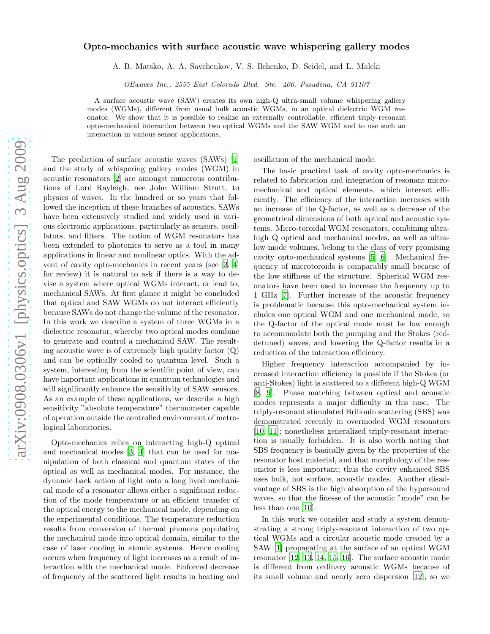## arXiv:0908.0306v1 [physics.optics] 3 Aug 2009 [arXiv:0908.0306v1 \[physics.optics\] 3 Aug 2009](http://arxiv.org/abs/0908.0306v1)

## Opto-mechanics with surface acoustic wave whispering gallery modes

A. B. Matsko, A. A. Savchenkov, V. S. Ilchenko, D. Seidel, and L. Maleki

OEwaves Inc., 2555 East Colorado Blvd. Ste. 400, Pasadena, CA 91107

A surface acoustic wave (SAW) creates its own high-Q ultra-small volume whispering gallery modes (WGMs), different from usual bulk acoustic WGMs, in an optical dielectric WGM resonator. We show that it is possible to realize an externally controllable, efficient triply-resonant opto-mechanical interaction between two optical WGMs and the SAW WGM and to use such an interaction in various sensor applications.

The prediction of surface acoustic waves (SAWs) [\[1](#page-3-0)] and the study of whispering gallery modes (WGM) in acoustic resonators [\[2](#page-3-1)] are amongst numerous contributions of Lord Rayleigh, nee John William Strutt, to physics of waves. In the hundred or so years that followed the inception of these branches of acoustics, SAWs have been extensively studied and widely used in various electronic applications, particularly as sensors, oscillators, and filters. The notion of WGM resonators has been extended to photonics to serve as a tool in many applications in linear and nonlinear optics. With the advent of cavity opto-mechanics in recent years (see [\[3,](#page-3-2) [4](#page-3-3)] for review) it is natural to ask if there is a way to devise a system where optical WGMs interact, or lead to, mechanical SAWs. At first glance it might be concluded that optical and SAW WGMs do not interact efficiently because SAWs do not change the volume of the resonator. In this work we describe a system of three WGMs in a dielectric resonator, whereby two optical modes combine to generate and control a mechanical SAW. The resulting acoustic wave is of extremely high quality factor  $(Q)$ and can be optically cooled to quantum level. Such a system, interesting from the scientific point of view, can have important applications in quantum technologies and will significantly enhance the sensitivity of SAW sensors. As an example of these applications, we describe a high sensitivity "absolute temperature" thermometer capable of operation outside the controlled environment of metrological laboratories.

Opto-mechanics relies on interacting high-Q optical and mechanical modes [\[3](#page-3-2), [4\]](#page-3-3) that can be used for manipulation of both classical and quantum states of the optical as well as mechanical modes. For instance, the dynamic back action of light onto a long lived mechanical mode of a resonator allows either a significant reduction of the mode temperature or an efficient transfer of the optical energy to the mechanical mode, depending on the experimental conditions. The temperature reduction results from conversion of thermal phonons populating the mechanical mode into optical domain, similar to the case of laser cooling in atomic systems. Hence cooling occurs when frequency of light increases as a result of interaction with the mechanical mode. Enforced decrease of frequency of the scattered light results in heating and oscillation of the mechanical mode.

The basic practical task of cavity opto-mechanics is related to fabrication and integration of resonant micromechanical and optical elements, which interact efficiently. The efficiency of the interaction increases with an increase of the Q-factor, as well as a decrease of the geometrical dimensions of both optical and acoustic systems. Micro-toroidal WGM resonators, combining ultrahigh Q optical and mechanical modes, as well as ultralow mode volumes, belong to the class of very promising cavity opto-mechanical systems [\[5](#page-3-4), [6\]](#page-3-5). Mechanical frequency of microtoroids is comparably small because of the low stiffness of the structure. Spherical WGM resonators have been used to increase the frequency up to 1 GHz [\[7\]](#page-3-6). Further increase of the acoustic frequency is problematic because this opto-mechanical system includes one optical WGM and one mechanical mode, so the Q-factor of the optical mode must be low enough to accommodate both the pumping and the Stokes (reddetuned) waves, and lowering the Q-factor results in a reduction of the interaction efficiency.

Higher frequency interaction accompanied by increased interaction efficiency is possible if the Stokes (or anti-Stokes) light is scattered to a different high-Q WGM [\[8,](#page-3-7) [9](#page-3-8)]. Phase matching between optical and acoustic modes represents a major difficulty in this case. The triply-resonant stimulated Brillouin scattering (SBS) was demonstrated recently in overmoded WGM resonators [\[10,](#page-3-9) [11](#page-3-10)]; nonetheless generalized triply-resonant interaction is usually forbidden. It is also worth noting that SBS frequency is basically given by the properties of the resonator host material, and that morphology of the resonator is less important; thus the cavity enhanced SBS uses bulk, not surface, acoustic modes. Another disadvantage of SBS is the high absorption of the hypersound waves, so that the finesse of the acoustic "mode" can be less than one [\[10\]](#page-3-9).

In this work we consider and study a system demonstrating a strong triply-resonant interaction of two optical WGMs and a circular acoustic mode created by a SAW [\[1\]](#page-3-0) propagating at the surface of an optical WGM resonator [\[12](#page-3-11), [13](#page-3-12), [14](#page-3-13), [15](#page-3-14), [16\]](#page-3-15). The surface acoustic mode is different from ordinary acoustic WGMs because of its small volume and nearly zero dispersion [\[12\]](#page-3-11), so we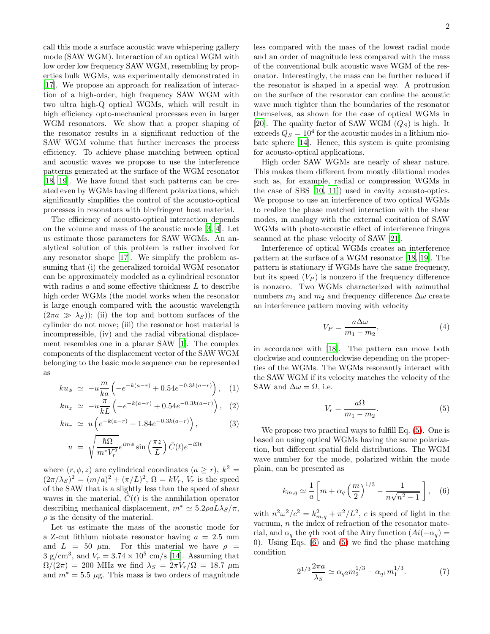call this mode a surface acoustic wave whispering gallery mode (SAW WGM). Interaction of an optical WGM with low order low frequency SAW WGM, resembling by properties bulk WGMs, was experimentally demonstrated in [\[17\]](#page-3-16). We propose an approach for realization of interaction of a high-order, high frequency SAW WGM with two ultra high-Q optical WGMs, which will result in high efficiency opto-mechanical processes even in larger WGM resonators. We show that a proper shaping of the resonator results in a significant reduction of the SAW WGM volume that further increases the process efficiency. To achieve phase matching between optical and acoustic waves we propose to use the interference patterns generated at the surface of the WGM resonator [\[18,](#page-3-17) [19\]](#page-3-18). We have found that such patterns can be created even by WGMs having different polarizations, which significantly simplifies the control of the acousto-optical processes in resonators with birefringent host material.

The efficiency of acousto-optical interaction depends on the volume and mass of the acoustic mode [\[3,](#page-3-2) [4\]](#page-3-3). Let us estimate those parameters for SAW WGMs. An analytical solution of this problem is rather involved for any resonator shape [\[17\]](#page-3-16). We simplify the problem assuming that (i) the generalized toroidal WGM resonator can be approximately modeled as a cylindrical resonator with radius  $a$  and some effective thickness  $L$  to describe high order WGMs (the model works when the resonator is large enough compared with the acoustic wavelength  $(2\pi a \gg \lambda_S)$ ; (ii) the top and bottom surfaces of the cylinder do not move; (iii) the resonator host material is incompressible, (iv) and the radial vibrational displacement resembles one in a planar SAW [\[1\]](#page-3-0). The complex components of the displacement vector of the SAW WGM belonging to the basic mode sequence can be represented as

$$
ku_{\phi} \simeq -u \frac{m}{ka} \left( -e^{-k(a-r)} + 0.54e^{-0.3k(a-r)} \right), \quad (1)
$$

$$
ku_z \simeq -u \frac{\pi}{kL} \left( -e^{-k(a-r)} + 0.54e^{-0.3k(a-r)} \right), \quad (2)
$$

$$
ku_r \simeq u \left( e^{-k(a-r)} - 1.84e^{-0.3k(a-r)} \right), \tag{3}
$$

$$
u = \sqrt{\frac{\hbar \Omega}{m^* V_r^2}} e^{im\phi} \sin\left(\frac{\pi z}{L}\right) \hat{C}(t) e^{-i\Omega t}
$$

where  $(r, \phi, z)$  are cylindrical coordinates  $(a \ge r)$ ,  $k^2 =$  $(2\pi/\lambda_S)^2 = (m/a)^2 + (\pi/L)^2$ ,  $\Omega = kV_r$ ,  $V_r$  is the speed of the SAW that is a slightly less than the speed of shear waves in the material,  $C(t)$  is the annihilation operator describing mechanical displacement,  $m^* \simeq 5.2 \rho a L \lambda_S / \pi$ ,  $\rho$  is the density of the material.

Let us estimate the mass of the acoustic mode for a Z-cut lithium niobate resonator having  $a = 2.5$  mm and  $L = 50 \mu m$ . For this material we have  $\rho =$  $3 \text{ g/cm}^3$ , and  $V_r = 3.74 \times 10^5 \text{ cm/s}$  [\[14\]](#page-3-13). Assuming that  $\Omega/(2\pi) = 200$  MHz we find  $\lambda_S = 2\pi V_r/\Omega = 18.7 \mu m$ and  $m^* = 5.5 \mu$ g. This mass is two orders of magnitude

less compared with the mass of the lowest radial mode and an order of magnitude less compared with the mass of the conventional bulk acoustic wave WGM of the resonator. Interestingly, the mass can be further reduced if the resonator is shaped in a special way. A protrusion on the surface of the resonator can confine the acoustic wave much tighter than the boundaries of the resonator themselves, as shown for the case of optical WGMs in [\[20\]](#page-3-19). The quality factor of SAW WGM  $(Q_S)$  is high. It exceeds  $Q_S = 10^4$  for the acoustic modes in a lithium niobate sphere [\[14](#page-3-13)]. Hence, this system is quite promising for acousto-optical applications.

High order SAW WGMs are nearly of shear nature. This makes them different from mostly dilational modes such as, for example, radial or compression WGMs in the case of SBS [\[10,](#page-3-9) [11\]](#page-3-10)) used in cavity acousto-optics. We propose to use an interference of two optical WGMs to realize the phase matched interaction with the shear modes, in analogy with the external excitation of SAW WGMs with photo-acoustic effect of interference fringes scanned at the phase velocity of SAW [\[21](#page-3-20)].

Interference of optical WGMs creates an interference pattern at the surface of a WGM resonator [\[18](#page-3-17), [19](#page-3-18)]. The pattern is stationary if WGMs have the same frequency, but its speed  $(V_P)$  is nonzero if the frequency difference is nonzero. Two WGMs characterized with azimuthal numbers  $m_1$  and  $m_2$  and frequency difference  $\Delta \omega$  create an interference pattern moving with velocity

$$
V_P = \frac{a\Delta\omega}{m_1 - m_2},\tag{4}
$$

in accordance with [\[18](#page-3-17)]. The pattern can move both clockwise and counterclockwise depending on the properties of the WGMs. The WGMs resonantly interact with the SAW WGM if its velocity matches the velocity of the SAW and  $\Delta \omega = \Omega$ , i.e.

<span id="page-1-0"></span>
$$
V_r = \frac{a\Omega}{m_1 - m_2}.\tag{5}
$$

We propose two practical ways to fulfill Eq. [\(5\)](#page-1-0). One is based on using optical WGMs having the same polarization, but different spatial field distributions. The WGM wave number for the mode, polarized within the mode plain, can be presented as

<span id="page-1-1"></span>
$$
k_{m,q} \simeq \frac{1}{a} \left[ m + \alpha_q \left( \frac{m}{2} \right)^{1/3} - \frac{1}{n\sqrt{n^2 - 1}} \right], \quad (6)
$$

with  $n^2\omega^2/c^2 = k_{m,q}^2 + \pi^2/L^2$ , c is speed of light in the vacuum,  $n$  the index of refraction of the resonator material, and  $\alpha_q$  the qth root of the Airy function  $(Ai(-\alpha_q))$ 0). Using Eqs. [\(6\)](#page-1-1) and [\(5\)](#page-1-0) we find the phase matching condition

<span id="page-1-2"></span>
$$
2^{1/3}\frac{2\pi a}{\lambda_S} \simeq \alpha_{q2}m_2^{1/3} - \alpha_{q1}m_1^{1/3}.\tag{7}
$$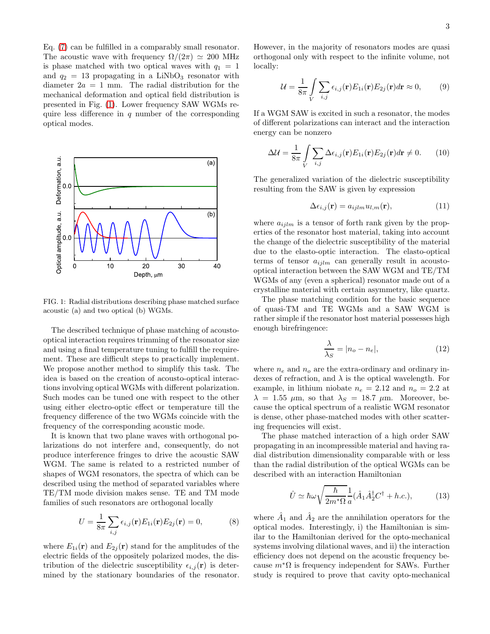Eq. [\(7\)](#page-1-2) can be fulfilled in a comparably small resonator. The acoustic wave with frequency  $\Omega/(2\pi) \simeq 200$  MHz is phase matched with two optical waves with  $q_1 = 1$ and  $q_2 = 13$  propagating in a LiNbO<sub>3</sub> resonator with diameter  $2a = 1$  mm. The radial distribution for the mechanical deformation and optical field distribution is presented in Fig. [\(1\)](#page-2-0). Lower frequency SAW WGMs require less difference in  $q$  number of the corresponding optical modes.



<span id="page-2-0"></span>FIG. 1: Radial distributions describing phase matched surface acoustic (a) and two optical (b) WGMs.

The described technique of phase matching of acoustooptical interaction requires trimming of the resonator size and using a final temperature tuning to fulfill the requirement. These are difficult steps to practically implement. We propose another method to simplify this task. The idea is based on the creation of acousto-optical interactions involving optical WGMs with different polarization. Such modes can be tuned one with respect to the other using either electro-optic effect or temperature till the frequency difference of the two WGMs coincide with the frequency of the corresponding acoustic mode.

It is known that two plane waves with orthogonal polarizations do not interfere and, consequently, do not produce interference fringes to drive the acoustic SAW WGM. The same is related to a restricted number of shapes of WGM resonators, the spectra of which can be described using the method of separated variables where TE/TM mode division makes sense. TE and TM mode families of such resonators are orthogonal locally

$$
U = \frac{1}{8\pi} \sum_{i,j} \epsilon_{i,j}(\mathbf{r}) E_{1i}(\mathbf{r}) E_{2j}(\mathbf{r}) = 0,
$$
 (8)

where  $E_{1i}(\mathbf{r})$  and  $E_{2i}(\mathbf{r})$  stand for the amplitudes of the electric fields of the oppositely polarized modes, the distribution of the dielectric susceptibility  $\epsilon_{i,j}(\mathbf{r})$  is determined by the stationary boundaries of the resonator.

However, in the majority of resonators modes are quasi orthogonal only with respect to the infinite volume, not locally:

$$
\mathcal{U} = \frac{1}{8\pi} \int\limits_{V} \sum_{i,j} \epsilon_{i,j}(\mathbf{r}) E_{1i}(\mathbf{r}) E_{2j}(\mathbf{r}) d\mathbf{r} \approx 0, \quad (9)
$$

If a WGM SAW is excited in such a resonator, the modes of different polarizations can interact and the interaction energy can be nonzero

$$
\Delta \mathcal{U} = \frac{1}{8\pi} \int_{V} \sum_{i,j} \Delta \epsilon_{i,j}(\mathbf{r}) E_{1i}(\mathbf{r}) E_{2j}(\mathbf{r}) d\mathbf{r} \neq 0.
$$
 (10)

The generalized variation of the dielectric susceptibility resulting from the SAW is given by expression

$$
\Delta \epsilon_{i,j}(\mathbf{r}) = a_{ijlm} u_{l,m}(\mathbf{r}),\tag{11}
$$

where  $a_{ijlm}$  is a tensor of forth rank given by the properties of the resonator host material, taking into account the change of the dielectric susceptibility of the material due to the elasto-optic interaction. The elasto-optical terms of tensor  $a_{iilm}$  can generally result in acoustooptical interaction between the SAW WGM and TE/TM WGMs of any (even a spherical) resonator made out of a crystalline material with certain asymmetry, like quartz.

The phase matching condition for the basic sequence of quasi-TM and TE WGMs and a SAW WGM is rather simple if the resonator host material possesses high enough birefringence:

$$
\frac{\lambda}{\lambda_S} = |n_o - n_e|,\tag{12}
$$

where  $n_e$  and  $n_o$  are the extra-ordinary and ordinary indexes of refraction, and  $\lambda$  is the optical wavelength. For example, in lithium niobate  $n_e = 2.12$  and  $n_o = 2.2$  at  $\lambda = 1.55 \mu \text{m}$ , so that  $\lambda_S = 18.7 \mu \text{m}$ . Moreover, because the optical spectrum of a realistic WGM resonator is dense, other phase-matched modes with other scattering frequencies will exist.

The phase matched interaction of a high order SAW propagating in an incompressible material and having radial distribution dimensionality comparable with or less than the radial distribution of the optical WGMs can be described with an interaction Hamiltonian

<span id="page-2-1"></span>
$$
\hat{U} \simeq \hbar \omega \sqrt{\frac{\hbar}{2m^*\Omega}} \frac{1}{a} (\hat{A}_1 \hat{A}_2^\dagger C^\dagger + h.c.), \tag{13}
$$

where  $\hat{A}_1$  and  $\hat{A}_2$  are the annihilation operators for the optical modes. Interestingly, i) the Hamiltonian is similar to the Hamiltonian derived for the opto-mechanical systems involving dilational waves, and ii) the interaction efficiency does not depend on the acoustic frequency because  $m<sup>*</sup>\Omega$  is frequency independent for SAWs. Further study is required to prove that cavity opto-mechanical